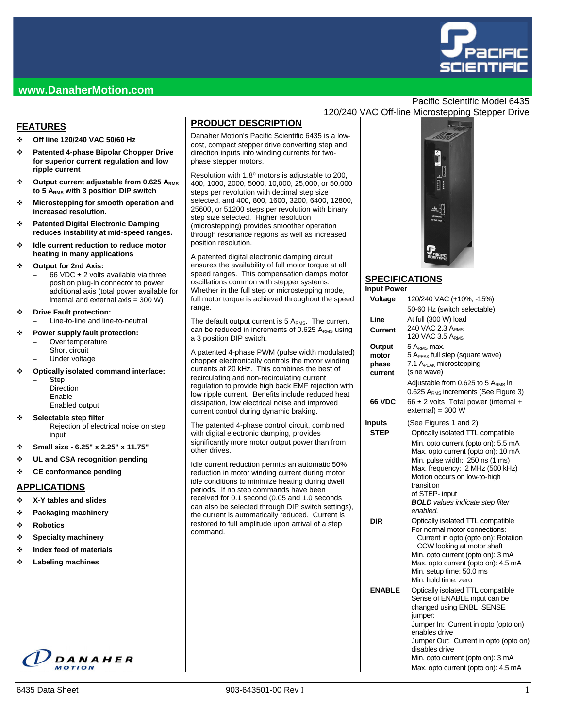

## **www.DanaherMotion.com**

## **FEATURES**

- **Off line 120/240 VAC 50/60 Hz**
- **Patented 4-phase Bipolar Chopper Drive for superior current regulation and low ripple current**
- **Output current adjustable from 0.625 ARMS to 5 ARMS with 3 position DIP switch**
- **Microstepping for smooth operation and increased resolution.**
- **Patented Digital Electronic Damping reduces instability at mid-speed ranges.**
- **Idle current reduction to reduce motor heating in many applications**

#### **Output for 2nd Axis:**

- 66 VDC  $\pm$  2 volts available via three position plug-in connector to power additional axis (total power available for internal and external axis = 300 W)
- **Drive Fault protection:** 
	- Line-to-line and line-to-neutral

#### **Power supply fault protection:**

- Over temperature
- Short circuit
- Under voltage

#### **Optically isolated command interface:**

- Step
- **Direction**
- Enable
- Enabled output

#### **Selectable step filter**

- Rejection of electrical noise on step input
- **Small size 6.25" x 2.25" x 11.75"**
- **UL and CSA recognition pending**
- **CE conformance pending**

#### **APPLICATIONS**

- **X-Y tables and slides**
- **Packaging machinery**
- **Robotics**
- **Specialty machinery**
- **Index feed of materials**
- **Labeling machines**

# DANAHER

# **PRODUCT DESCRIPTION**

Danaher Motion's Pacific Scientific 6435 is a lowcost, compact stepper drive converting step and direction inputs into winding currents for twophase stepper motors.

Resolution with 1.8º motors is adjustable to 200, 400, 1000, 2000, 5000, 10,000, 25,000, or 50,000 steps per revolution with decimal step size selected, and 400, 800, 1600, 3200, 6400, 12800, 25600, or 51200 steps per revolution with binary step size selected. Higher resolution (microstepping) provides smoother operation through resonance regions as well as increased position resolution.

A patented digital electronic damping circuit ensures the availability of full motor torque at all speed ranges. This compensation damps motor oscillations common with stepper systems. Whether in the full step or microstepping mode, full motor torque is achieved throughout the speed range.

The default output current is  $5 A<sub>RMS</sub>$ . The current can be reduced in increments of  $0.625$  A<sub>RMS</sub> using a 3 position DIP switch.

A patented 4-phase PWM (pulse width modulated) chopper electronically controls the motor winding currents at 20 kHz. This combines the best of recirculating and non-recirculating current regulation to provide high back EMF rejection with low ripple current. Benefits include reduced heat dissipation, low electrical noise and improved current control during dynamic braking.

The patented 4-phase control circuit, combined with digital electronic damping, provides significantly more motor output power than from other drives.

Idle current reduction permits an automatic 50% reduction in motor winding current during motor idle conditions to minimize heating during dwell periods. If no step commands have been received for 0.1 second (0.05 and 1.0 seconds can also be selected through DIP switch settings), the current is automatically reduced. Current is restored to full amplitude upon arrival of a step command.

## Pacific Scientific Model 6435 120/240 VAC Off-line Microstepping Stepper Drive



#### **SPECIFICATIONS**  $In$

| Input Power   |                                                                                          |
|---------------|------------------------------------------------------------------------------------------|
| Voltage       | 120/240 VAC (+10%, -15%)                                                                 |
|               | 50-60 Hz (switch selectable)                                                             |
| Line          | At full (300 W) load                                                                     |
| Current       | 240 VAC 2.3 ARMS                                                                         |
|               | 120 VAC 3.5 ARMS                                                                         |
| Output        | 5 A <sub>rms</sub> max.                                                                  |
| motor         | 5 A <sub>PEAK</sub> full step (square wave)                                              |
| phase         | 7.1 A <sub>PEAK</sub> microstepping                                                      |
| current       | (sine wave)                                                                              |
|               | Adjustable from 0.625 to 5 $ARMS$ in<br>0.625 A <sub>RMS</sub> increments (See Figure 3) |
| <b>66 VDC</b> | 66 ± 2 volts Total power (internal +                                                     |
|               | $external = 300 W$                                                                       |
| Inputs        | (See Figures 1 and 2)                                                                    |
| <b>STEP</b>   | Optically isolated TTL compatible                                                        |
|               | Min. opto current (opto on): 5.5 mA                                                      |
|               | Max. opto current (opto on): 10 mA                                                       |
|               | Min. pulse width: 250 ns (1 ms)                                                          |
|               | Max. frequency: 2 MHz (500 kHz)                                                          |
|               | Motion occurs on low-to-high<br>transition                                               |
|               | of STEP- input                                                                           |
|               | <b>BOLD</b> values indicate step filter                                                  |
|               | enabled.                                                                                 |
| DIR           | Optically isolated TTL compatible                                                        |
|               | For normal motor connections:                                                            |
|               | Current in opto (opto on): Rotation                                                      |
|               | CCW looking at motor shaft<br>Min. opto current (opto on): 3 mA                          |
|               | Max. opto current (opto on): 4.5 mA                                                      |
|               | Min. setup time: 50.0 ms                                                                 |
|               | Min, hold time: zero                                                                     |
| <b>ENABLE</b> | Optically isolated TTL compatible                                                        |
|               | Sense of ENABLE input can be                                                             |
|               | changed using ENBL_SENSE                                                                 |
|               | jumper:<br>Jumper In: Current in opto (opto on)                                          |
|               | enables drive                                                                            |
|               | Jumper Out: Current in opto (opto on)                                                    |
|               | disables drive                                                                           |
|               | Min. opto current (opto on): 3 mA                                                        |
|               | Max. opto current (opto on): 4.5 mA                                                      |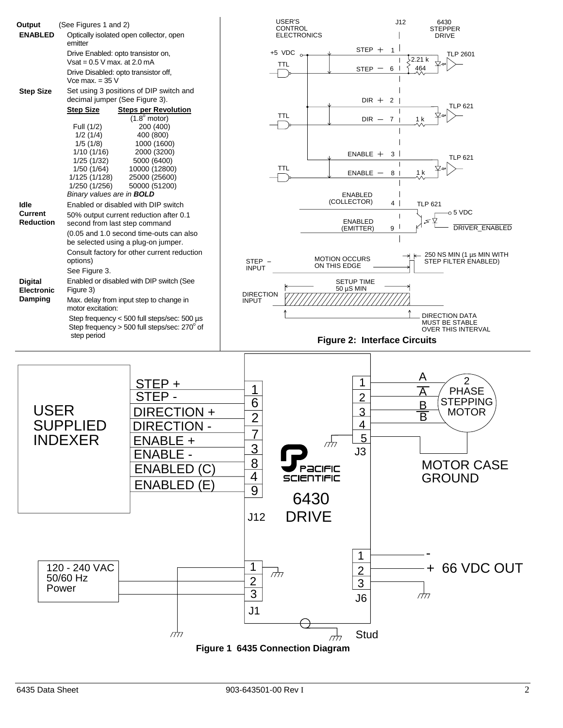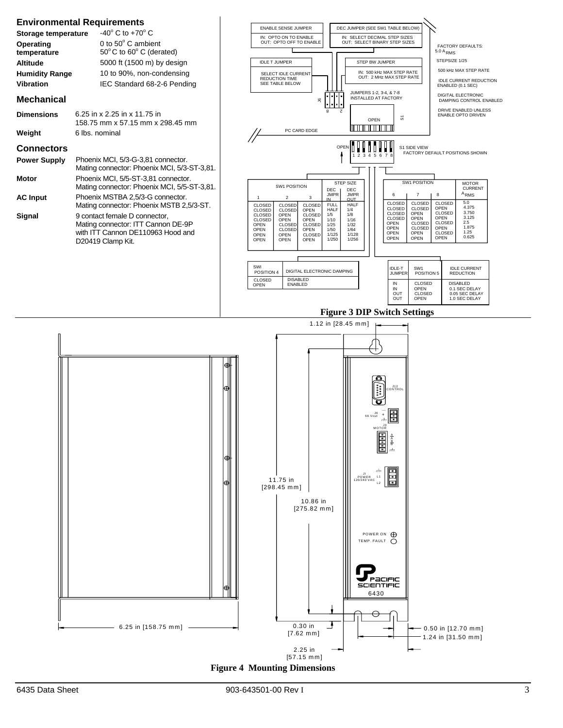

**Figure 4 Mounting Dimensions**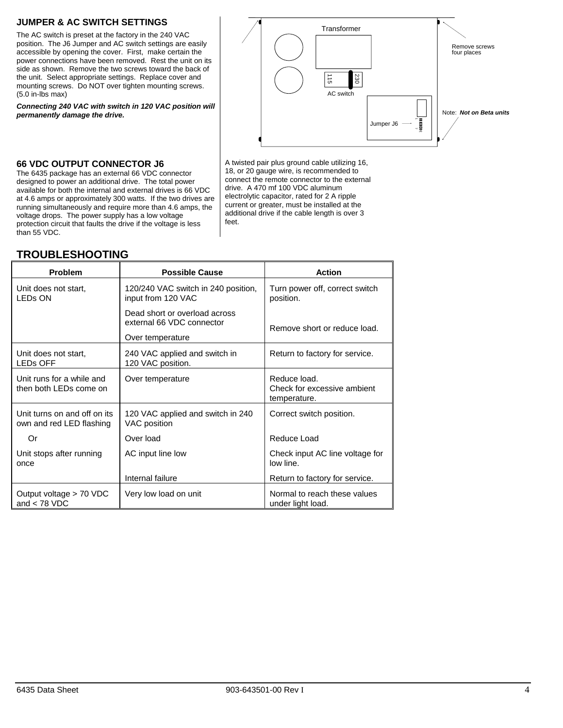## **JUMPER & AC SWITCH SETTINGS**

The AC switch is preset at the factory in the 240 VAC position. The J6 Jumper and AC switch settings are easily accessible by opening the cover. First, make certain the power connections have been removed. Rest the unit on its side as shown. Remove the two screws toward the back of the unit. Select appropriate settings. Replace cover and mounting screws. Do NOT over tighten mounting screws. (5.0 in-lbs max)

*Connecting 240 VAC with switch in 120 VAC position will permanently damage the drive.* 



#### **66 VDC OUTPUT CONNECTOR J6**

The 6435 package has an external 66 VDC connector designed to power an additional drive. The total power available for both the internal and external drives is 66 VDC at 4.6 amps or approximately 300 watts. If the two drives are running simultaneously and require more than 4.6 amps, the voltage drops. The power supply has a low voltage protection circuit that faults the drive if the voltage is less than 55 VDC.

#### 18, or 20 gauge wire, is recommended to connect the remote connector to the external drive. A 470 mf 100 VDC aluminum electrolytic capacitor, rated for 2 A ripple current or greater, must be installed at the additional drive if the cable length is over 3 feet.

A twisted pair plus ground cable utilizing 16,

| <b>Problem</b>                                           | <b>Possible Cause</b>                                      | <b>Action</b>                                               |
|----------------------------------------------------------|------------------------------------------------------------|-------------------------------------------------------------|
| Unit does not start,<br><b>LED<sub>s</sub></b> ON        | 120/240 VAC switch in 240 position,<br>input from 120 VAC  | Turn power off, correct switch<br>position.                 |
|                                                          | Dead short or overload across<br>external 66 VDC connector | Remove short or reduce load.                                |
|                                                          | Over temperature                                           |                                                             |
| Unit does not start,<br><b>LEDS OFF</b>                  | 240 VAC applied and switch in<br>120 VAC position.         | Return to factory for service.                              |
| Unit runs for a while and<br>then both LEDs come on      | Over temperature                                           | Reduce load.<br>Check for excessive ambient<br>temperature. |
| Unit turns on and off on its<br>own and red LED flashing | 120 VAC applied and switch in 240<br>VAC position          | Correct switch position.                                    |
| Or                                                       | Over load                                                  | Reduce Load                                                 |
| Unit stops after running<br>once                         | AC input line low                                          | Check input AC line voltage for<br>low line.                |
|                                                          | Internal failure                                           | Return to factory for service.                              |
| Output voltage > 70 VDC<br>and $<$ 78 VDC                | Very low load on unit                                      | Normal to reach these values<br>under light load.           |

# **TROUBLESHOOTING**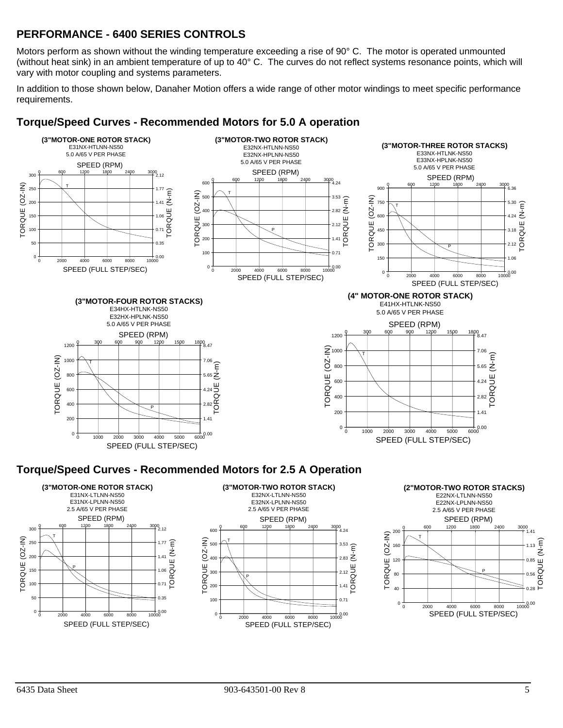# **PERFORMANCE - 6400 SERIES CONTROLS**

Motors perform as shown without the winding temperature exceeding a rise of 90° C. The motor is operated unmounted (without heat sink) in an ambient temperature of up to 40° C. The curves do not reflect systems resonance points, which will vary with motor coupling and systems parameters.

In addition to those shown below, Danaher Motion offers a wide range of other motor windings to meet specific performance requirements.



# **Torque/Speed Curves - Recommended Motors for 5.0 A operation**

# **Torque/Speed Curves - Recommended Motors for 2.5 A Operation**